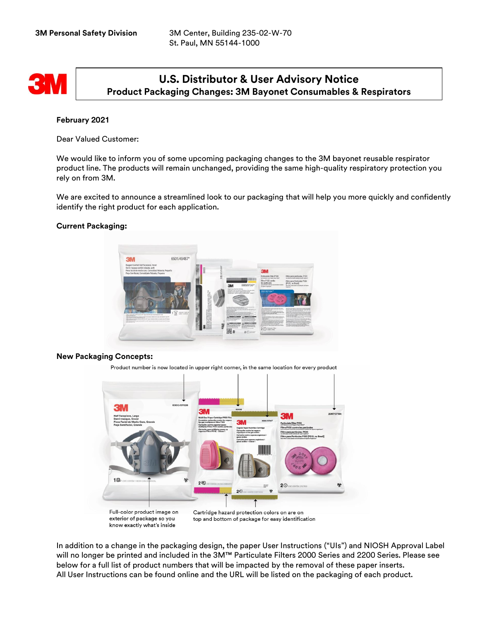

# **U.S. Distributor & User Advisory Notice Product Packaging Changes: 3M Bayonet Consumables & Respirators**

## **February 2021**

Dear Valued Customer:

We would like to inform you of some upcoming packaging changes to the 3M bayonet reusable respirator product line. The products will remain unchanged, providing the same high-quality respiratory protection you rely on from 3M.

We are excited to announce a streamlined look to our packaging that will help you more quickly and confidently identify the right product for each application.

### **Current Packaging:**



### **New Packaging Concepts:**

Product number is now located in upper right corner, in the same location for every product



In addition to a change in the packaging design, the paper User Instructions ("UIs") and NIOSH Approval Label will no longer be printed and included in the 3M™ Particulate Filters 2000 Series and 2200 Series. Please see below for a full list of product numbers that will be impacted by the removal of these paper inserts. All User Instructions can be found online and the URL will be listed on the packaging of each product.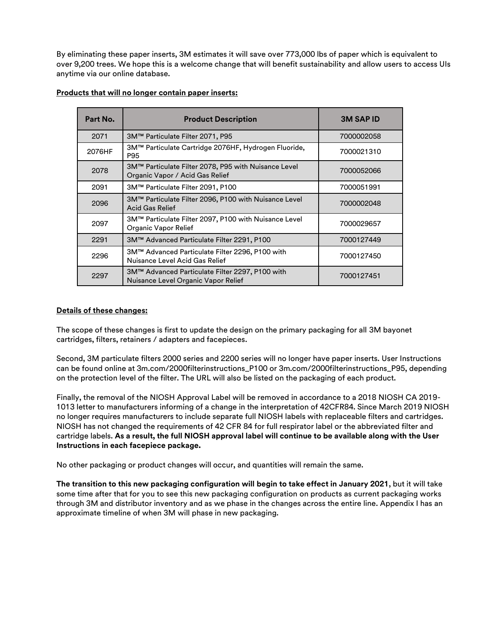By eliminating these paper inserts, 3M estimates it will save over 773,000 lbs of paper which is equivalent to over 9,200 trees. We hope this is a welcome change that will benefit sustainability and allow users to access UIs anytime via our online database.

| Part No. | <b>Product Description</b>                                                                            | <b>3M SAP ID</b> |
|----------|-------------------------------------------------------------------------------------------------------|------------------|
| 2071     | 3M™ Particulate Filter 2071, P95<br>7000002058                                                        |                  |
| 2076HF   | 3M™ Particulate Cartridge 2076HF, Hydrogen Fluoride,<br>P95                                           | 7000021310       |
| 2078     | 3M™ Particulate Filter 2078, P95 with Nuisance Level<br>7000052066<br>Organic Vapor / Acid Gas Relief |                  |
| 2091     | 3M™ Particulate Filter 2091, P100<br>7000051991                                                       |                  |
| 2096     | 3M™ Particulate Filter 2096, P100 with Nuisance Level<br>7000002048<br><b>Acid Gas Relief</b>         |                  |
| 2097     | 3M™ Particulate Filter 2097, P100 with Nuisance Level<br>7000029657<br>Organic Vapor Relief           |                  |
| 2291     | 3M™ Advanced Particulate Filter 2291, P100<br>7000127449                                              |                  |
| 2296     | 3M™ Advanced Particulate Filter 2296, P100 with<br>Nuisance Level Acid Gas Relief                     | 7000127450       |
| 2297     | 3M™ Advanced Particulate Filter 2297, P100 with<br>7000127451<br>Nuisance Level Organic Vapor Relief  |                  |

## **Products that will no longer contain paper inserts:**

### **Details of these changes:**

The scope of these changes is first to update the design on the primary packaging for all 3M bayonet cartridges, filters, retainers / adapters and facepieces.

Second, 3M particulate filters 2000 series and 2200 series will no longer have paper inserts. User Instructions can be found online at 3m.com/2000filterinstructions\_P100 or 3m.com/2000filterinstructions\_P95, depending on the protection level of the filter. The URL will also be listed on the packaging of each product.

Finally, the removal of the NIOSH Approval Label will be removed in accordance to a 2018 NIOSH CA 2019- 1013 letter to manufacturers informing of a change in the interpretation of 42CFR84. Since March 2019 NIOSH no longer requires manufacturers to include separate full NIOSH labels with replaceable filters and cartridges. NIOSH has not changed the requirements of 42 CFR 84 for full respirator label or the abbreviated filter and cartridge labels. **As a result, the full NIOSH approval label will continue to be available along with the User Instructions in each facepiece package.**

No other packaging or product changes will occur, and quantities will remain the same.

**The transition to this new packaging configuration will begin to take effect in January 2021**, but it will take some time after that for you to see this new packaging configuration on products as current packaging works through 3M and distributor inventory and as we phase in the changes across the entire line. Appendix I has an approximate timeline of when 3M will phase in new packaging.